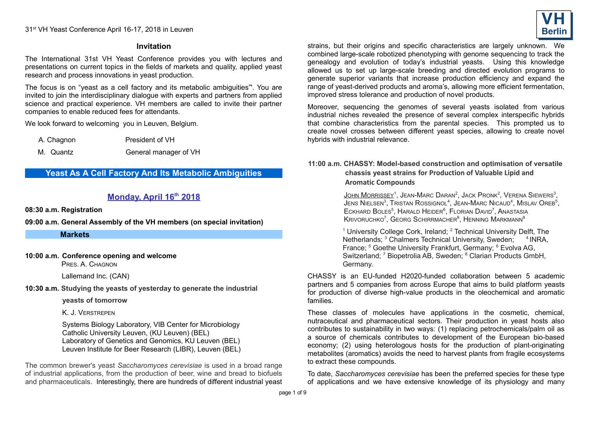#### **Invitation**

The International 31st VH Yeast Conference provides you with lectures and presentations on current topics in the fields of markets and quality, applied yeast research and process innovations in yeast production.

The focus is on "yeast as a cell factory and its metabolic ambiguities"'. You are invited to join the interdisciplinary dialogue with experts and partners from applied science and practical experience. VH members are called to invite their partner companies to enable reduced fees for attendants.

We look forward to welcoming you in Leuven, Belgium.

A. Chagnon President of VH

M. Quantz General manager of VH

# **Yeast As A Cell Factory And Its Metabolic Ambiguities**

# **Monday, April 16th 2018**

**08:30 a.m. Registration**

**09:00 a.m. General Assembly of the VH members (on special invitation)**

**Markets**

### **10:00 a.m. Conference opening and welcome**

PRES. A. CHAGNON

Lallemand Inc. (CAN)

**10:30 a.m. Studying the yeasts of yesterday to generate the industrial**

 **yeasts of tomorrow**

K. J. VERSTREPEN

Systems Biology Laboratory, VIB Center for Microbiology Catholic University Leuven, (KU Leuven) (BEL) Laboratory of Genetics and Genomics, KU Leuven (BEL) Leuven Institute for Beer Research (LIBR), Leuven (BEL)

The common brewer's yeast *Saccharomyces cerevisiae* is used in a broad range of industrial applications, from the production of beer, wine and bread to biofuels and pharmaceuticals. Interestingly, there are hundreds of different industrial yeast strains, but their origins and specific characteristics are largely unknown. We combined large-scale robotized phenotyping with genome sequencing to track the genealogy and evolution of today's industrial yeasts. Using this knowledge allowed us to set up large-scale breeding and directed evolution programs to generate superior variants that increase production efficiency and expand the range of yeast-derived products and aroma's, allowing more efficient fermentation, improved stress tolerance and production of novel products.

Moreover, sequencing the genomes of several yeasts isolated from various industrial niches revealed the presence of several complex interspecific hybrids that combine characteristics from the parental species. This prompted us to create novel crosses between different yeast species, allowing to create novel hybrids with industrial relevance.

### **11:00 a.m. CHASSY: Model-based construction and optimisation of versatile chassis yeast strains for Production of Valuable Lipid and Aromatic Compounds**

JOHN MORRISSEY<sup>1</sup>, JEAN-MARC DARAN<sup>2</sup>, JACK PRONK<sup>2</sup>, VERENA SIEWERS<sup>3</sup>, Jens Nielsen<sup>3</sup>, Tristan Rossignol<sup>4</sup>, Jean-Marc Nicaud<sup>4</sup>, Mislav Oreb<sup>5</sup>, ECKHARD BOLES<sup>5</sup>, HARALD HEIDER<sup>6</sup>, FLORIAN DAVID<sup>7</sup>, ANASTASIA  $\mathsf{K}$ rivoruchko $^7$ , Georg Schirrmacher $^8$ , Henning Markmann $^8$ 

<sup>1</sup> University College Cork, Ireland; <sup>2</sup> Technical University Delft, The Netherlands; <sup>3</sup> Chalmers Technical University, Sweden; <sup>4</sup> INRA, France; <sup>5</sup> Goethe University Frankfurt, Germany; <sup>6</sup> Evolva AG, Switzerland; <sup>7</sup> Biopetrolia AB, Sweden; <sup>8</sup> Clarian Products GmbH, Germany.

CHASSY is an EU-funded H2020-funded collaboration between 5 academic partners and 5 companies from across Europe that aims to build platform yeasts for production of diverse high-value products in the oleochemical and aromatic families.

These classes of molecules have applications in the cosmetic, chemical, nutraceutical and pharmaceutical sectors. Their production in yeast hosts also contributes to sustainability in two ways: (1) replacing petrochemicals/palm oil as a source of chemicals contributes to development of the European bio-based economy; (2) using heterologous hosts for the production of plant-originating metabolites (aromatics) avoids the need to harvest plants from fragile ecosystems to extract these compounds.

To date, *Saccharomyces cerevisiae* has been the preferred species for these type of applications and we have extensive knowledge of its physiology and many

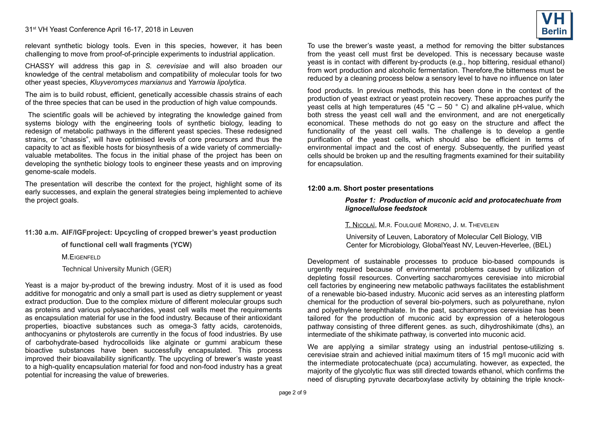relevant synthetic biology tools. Even in this species, however, it has been challenging to move from proof-of-principle experiments to industrial application.

CHASSY will address this gap in *S. cerevisiae* and will also broaden our knowledge of the central metabolism and compatibility of molecular tools for two other yeast species, *Kluyveromyces marxianus* and *Yarrowia lipolytica*.

The aim is to build robust, efficient, genetically accessible chassis strains of each of the three species that can be used in the production of high value compounds.

The scientific goals will be achieved by integrating the knowledge gained from systems biology with the engineering tools of synthetic biology, leading to redesign of metabolic pathways in the different yeast species. These redesigned strains, or "chassis", will have optimised levels of core precursors and thus the capacity to act as flexible hosts for biosynthesis of a wide variety of commerciallyvaluable metabolites. The focus in the initial phase of the project has been on developing the synthetic biology tools to engineer these yeasts and on improving genome-scale models.

The presentation will describe the context for the project, highlight some of its early successes, and explain the general strategies being implemented to achieve the project goals.

### **11:30 a.m. AIF/IGFproject: Upcycling of cropped brewer's yeast production**

 **of functional cell wall fragments (YCW)**

M. FIGENEELD

Technical University Munich (GER)

Yeast is a major by-product of the brewing industry. Most of it is used as food additive for monogatric and only a small part is used as dietry supplement or yeast extract production. Due to the complex mixture of different molecular groups such as proteins and various polysaccharides, yeast cell walls meet the requirements as encapsulation material for use in the food industry. Because of their antioxidant properties, bioactive substances such as omega-3 fatty acids, carotenoids, anthocyanins or phytosterols are currently in the focus of food industries. By use of carbohydrate-based hydrocolloids like alginate or gummi arabicum these bioactive substances have been successfully encapsulated. This process improved their bioavailability significantly. The upcycling of brewer's waste yeast to a high-quality encapsulation material for food and non-food industry has a great potential for increasing the value of breweries.

To use the brewer's waste yeast, a method for removing the bitter substances from the yeast cell must first be developed. This is necessary because waste yeast is in contact with different by-products (e.g., hop bittering, residual ethanol) from wort production and alcoholic fermentation. Therefore,the bitterness must be reduced by a cleaning process below a sensory level to have no influence on later

food products. In previous methods, this has been done in the context of the production of yeast extract or yeast protein recovery. These approaches purify the yeast cells at high temperatures (45 °C – 50  $\degree$  C) and alkaline pH-value, which both stress the yeast cell wall and the environment, and are not energetically economical. These methods do not go easy on the structure and affect the functionality of the yeast cell walls. The challenge is to develop a gentle purification of the yeast cells, which should also be efficient in terms of environmental impact and the cost of energy. Subsequently, the purified yeast cells should be broken up and the resulting fragments examined for their suitability for encapsulation.

### **12:00 a.m. Short poster presentations**

*Poster 1: Production of muconic acid and protocatechuate from lignocellulose feedstock*

T. NICOLAÏ, M.R. FOULQUIÉ MORENO, J. M. THEVELEIN

University of Leuven, Laboratory of Molecular Cell Biology, VIB Center for Microbiology, GlobalYeast NV, Leuven-Heverlee, (BEL)

Development of sustainable processes to produce bio-based compounds is urgently required because of environmental problems caused by utilization of depleting fossil resources. Converting saccharomyces cerevisiae into microbial cell factories by engineering new metabolic pathways facilitates the establishment of a renewable bio-based industry. Muconic acid serves as an interesting platform chemical for the production of several bio-polymers, such as polyurethane, nylon and polyethylene terephthalate. In the past, saccharomyces cerevisiae has been tailored for the production of muconic acid by expression of a heterologous pathway consisting of three different genes. as such, dihydroshikimate (dhs), an intermediate of the shikimate pathway, is converted into muconic acid.

We are applying a similar strategy using an industrial pentose-utilizing s. cerevisiae strain and achieved initial maximum titers of 15 mg/l muconic acid with the intermediate protocatechuate (pca) accumulating. however, as expected, the majority of the glycolytic flux was still directed towards ethanol, which confirms the need of disrupting pyruvate decarboxylase activity by obtaining the triple knock-

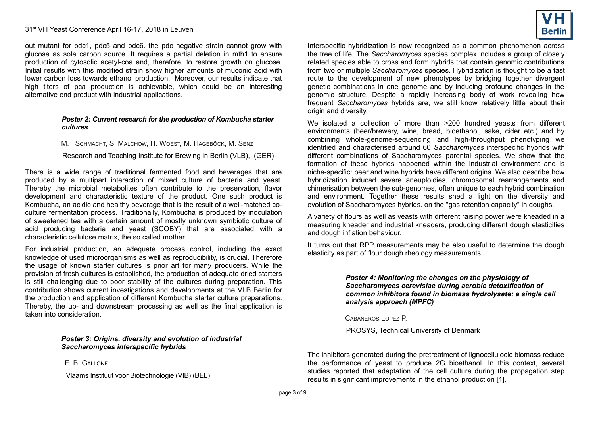out mutant for pdc1, pdc5 and pdc6. the pdc negative strain cannot grow with glucose as sole carbon source. It requires a partial deletion in mth1 to ensure production of cytosolic acetyl-coa and, therefore, to restore growth on glucose. Initial results with this modified strain show higher amounts of muconic acid with lower carbon loss towards ethanol production. Moreover, our results indicate that high titers of pca production is achievable, which could be an interesting alternative end product with industrial applications.

#### *Poster 2: Current research for the production of Kombucha starter cultures*

M. SCHMACHT, S. MALCHOW, H. WOEST, M. HAGEBÖCK, M. SENZ

Research and Teaching Institute for Brewing in Berlin (VLB), (GER)

There is a wide range of traditional fermented food and beverages that are produced by a multipart interaction of mixed culture of bacteria and yeast. Thereby the microbial metabolites often contribute to the preservation, flavor development and characteristic texture of the product. One such product is Kombucha, an acidic and healthy beverage that is the result of a well-matched coculture fermentation process. Traditionally, Kombucha is produced by inoculation of sweetened tea with a certain amount of mostly unknown symbiotic culture of acid producing bacteria and yeast (SCOBY) that are associated with a characteristic cellulose matrix, the so called mother.

For industrial production, an adequate process control, including the exact knowledge of used microorganisms as well as reproducibility, is crucial. Therefore the usage of known starter cultures is prior art for many producers. While the provision of fresh cultures is established, the production of adequate dried starters is still challenging due to poor stability of the cultures during preparation. This contribution shows current investigations and developments at the VLB Berlin for the production and application of different Kombucha starter culture preparations. Thereby, the up- and downstream processing as well as the final application is taken into consideration.

> *Poster 3: Origins, diversity and evolution of industrial Saccharomyces interspecific hybrids*

E. B. GALLONE

Vlaams Instituut voor Biotechnologie (VIB) (BEL)



Interspecific hybridization is now recognized as a common phenomenon across the tree of life. The *Saccharomyces* species complex includes a group of closely related species able to cross and form hybrids that contain genomic contributions from two or multiple *Saccharomyces* species. Hybridization is thought to be a fast route to the development of new phenotypes by bridging together divergent genetic combinations in one genome and by inducing profound changes in the genomic structure. Despite a rapidly increasing body of work revealing how frequent *Saccharomyces* hybrids are, we still know relatively little about their origin and diversity.

We isolated a collection of more than >200 hundred yeasts from different environments (beer/brewery, wine, bread, bioethanol, sake, cider etc.) and by combining whole-genome-sequencing and high-throughput phenotyping we identified and characterised around 60 *Saccharomyces* interspecific hybrids with different combinations of Saccharomyces parental species. We show that the formation of these hybrids happened within the industrial environment and is niche-specific: beer and wine hybrids have different origins. We also describe how hybridization induced severe aneuploidies, chromosomal rearrangements and chimerisation between the sub-genomes, often unique to each hybrid combination and environment. Together these results shed a light on the diversity and evolution of Saccharomyces hybrids. on the "gas retention capacity" in doughs.

A variety of flours as well as yeasts with different raising power were kneaded in a measuring kneader and industrial kneaders, producing different dough elasticities and dough inflation behaviour.

It turns out that RPP measurements may be also useful to determine the dough elasticity as part of flour dough rheology measurements.

> *Poster 4: Monitoring the changes on the physiology of Saccharomyces cerevisiae during aerobic detoxification of common inhibitors found in biomass hydrolysate: a single cell analysis approach (MPFC)*

CABANEROS LOPEZ P.

PROSYS, Technical University of Denmark

The inhibitors generated during the pretreatment of lignocellulocic biomass reduce the performance of yeast to produce 2G bioethanol. In this context, several studies reported that adaptation of the cell culture during the propagation step results in significant improvements in the ethanol production [1].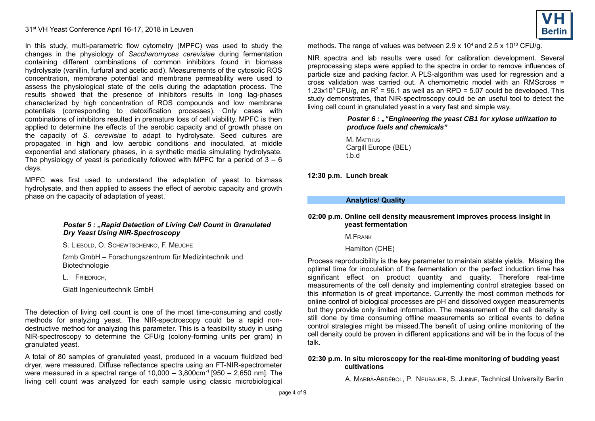In this study, multi-parametric flow cytometry (MPFC) was used to study the changes in the physiology of *Saccharomyces cerevisiae* during fermentation containing different combinations of common inhibitors found in biomass hydrolysate (vanillin, furfural and acetic acid). Measurements of the cytosolic ROS concentration, membrane potential and membrane permeability were used to assess the physiological state of the cells during the adaptation process. The results showed that the presence of inhibitors results in long lag-phases characterized by high concentration of ROS compounds and low membrane potentials (corresponding to detoxification processes). Only cases with combinations of inhibitors resulted in premature loss of cell viability. MPFC is then applied to determine the effects of the aerobic capacity and of growth phase on the capacity of *S. cerevisiae* to adapt to hydrolysate. Seed cultures are propagated in high and low aerobic conditions and inoculated, at middle exponential and stationary phases, in a synthetic media simulating hydrolysate. The physiology of yeast is periodically followed with MPFC for a period of  $3 - 6$ days.

MPFC was first used to understand the adaptation of yeast to biomass hydrolysate, and then applied to assess the effect of aerobic capacity and growth phase on the capacity of adaptation of yeast.

#### **Poster 5 : "Rapid Detection of Living Cell Count in Granulated** *Dry Yeast Using NIR-Spectroscopy*

S. LIEBOLD, O. SCHEWTSCHENKO, F. MEUCHE

fzmb GmbH – Forschungszentrum für Medizintechnik und Biotechnologie

L. FRIEDRICH,

Glatt Ingenieurtechnik GmbH

The detection of living cell count is one of the most time-consuming and costly methods for analyzing yeast. The NIR-spectroscopy could be a rapid nondestructive method for analyzing this parameter. This is a feasibility study in using NIR-spectroscopy to determine the CFU/g (colony-forming units per gram) in granulated yeast.

A total of 80 samples of granulated yeast, produced in a vacuum fluidized bed dryer, were measured. Diffuse reflectance spectra using an FT-NIR-spectrometer were measured in a spectral range of  $10,000 - 3,800 \text{cm}^{-1}$  [950 – 2,650 nm]. The living cell count was analyzed for each sample using classic microbiological



methods. The range of values was between 2.9 x  $10^4$  and 2.5 x  $10^{10}$  CFU/g.

NIR spectra and lab results were used for calibration development. Several preprocessing steps were applied to the spectra in order to remove influences of particle size and packing factor. A PLS-algorithm was used for regression and a cross validation was carried out. A chemometric model with an RMScross = 1.23x10<sup>9</sup> CFU/g, an  $R^2$  = 96.1 as well as an RPD = 5.07 could be developed. This study demonstrates, that NIR-spectroscopy could be an useful tool to detect the living cell count in granulated yeast in a very fast and simple way.

### *Poster 6 : ""Engineering the yeast CB1 for xylose utilization to produce fuels and chemicals"*

M. MATTHLIS Cargill Europe (BEL) t.b.d

**12:30 p.m. Lunch break**

#### **Analytics/ Quality**

#### **02:00 p.m. Online cell density meausrement improves process insight in yeast fermentation**

M.FRANK

Hamilton (CHE)

Process reproducibility is the key parameter to maintain stable yields. Missing the optimal time for inoculation of the fermentation or the perfect induction time has significant effect on product quantity and quality. Therefore real-time measurements of the cell density and implementing control strategies based on this information is of great importance. Currently the most common methods for online control of biological processes are pH and dissolved oxygen measurements but they provide only limited information. The measurement of the cell density is still done by time consuming offline measurements so critical events to define control strategies might be missed.The benefit of using online monitoring of the cell density could be proven in different applications and will be in the focus of the talk.

#### **02:30 p.m. In situ microscopy for the real-time monitoring of budding yeast cultivations**

A. MARBÀ-ARDÉBOL, P. NEUBAUER, S. JUNNE, Technical University Berlin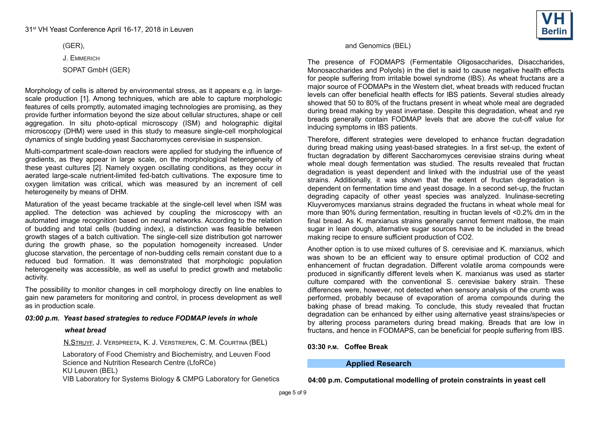(GER),

J. EMMERICH

SOPAT GmbH (GER)

Morphology of cells is altered by environmental stress, as it appears e.g. in largescale production [1]. Among techniques, which are able to capture morphologic features of cells promptly, automated imaging technologies are promising, as they provide further information beyond the size about cellular structures, shape or cell aggregation. In situ photo-optical microscopy (ISM) and holographic digital microscopy (DHM) were used in this study to measure single-cell morphological dynamics of single budding yeast Saccharomyces cerevisiae in suspension.

Multi-compartment scale-down reactors were applied for studying the influence of gradients, as they appear in large scale, on the morphological heterogeneity of these yeast cultures [2]. Namely oxygen oscillating conditions, as they occur in aerated large-scale nutrient-limited fed-batch cultivations. The exposure time to oxygen limitation was critical, which was measured by an increment of cell heterogeneity by means of DHM.

Maturation of the yeast became trackable at the single-cell level when ISM was applied. The detection was achieved by coupling the microscopy with an automated image recognition based on neural networks. According to the relation of budding and total cells (budding index), a distinction was feasible between growth stages of a batch cultivation. The single-cell size distribution got narrower during the growth phase, so the population homogeneity increased. Under glucose starvation, the percentage of non-budding cells remain constant due to a reduced bud formation. It was demonstrated that morphologic population heterogeneity was accessible, as well as useful to predict growth and metabolic activity.

The possibility to monitor changes in cell morphology directly on line enables to gain new parameters for monitoring and control, in process development as well as in production scale.

### *03:00 p.m. Yeast based strategies to reduce FODMAP levels in whole*

### *wheat bread*

N.STRUYF, J. VERSPREETA, K. J. VERSTREPEN, C. M. COURTINA (BEL)

Laboratory of Food Chemistry and Biochemistry, and Leuven Food Science and Nutrition Research Centre (LfoRCe) KU Leuven (BEL)

VIB Laboratory for Systems Biology & CMPG Laboratory for Genetics



### and Genomics (BEL)

The presence of FODMAPS (Fermentable Oligosaccharides, Disaccharides, Monosaccharides and Polyols) in the diet is said to cause negative health effects for people suffering from irritable bowel syndrome (IBS). As wheat fructans are a major source of FODMAPs in the Western diet, wheat breads with reduced fructan levels can offer beneficial health effects for IBS patients. Several studies already showed that 50 to 80% of the fructans present in wheat whole meal are degraded during bread making by yeast invertase. Despite this degradation, wheat and rye breads generally contain FODMAP levels that are above the cut-off value for inducing symptoms in IBS patients.

Therefore, different strategies were developed to enhance fructan degradation during bread making using yeast-based strategies. In a first set-up, the extent of fructan degradation by different Saccharomyces cerevisiae strains during wheat whole meal dough fermentation was studied. The results revealed that fructan degradation is yeast dependent and linked with the industrial use of the yeast strains. Additionally, it was shown that the extent of fructan degradation is dependent on fermentation time and yeast dosage. In a second set-up, the fructan degrading capacity of other yeast species was analyzed. Inulinase-secreting Kluyveromyces marxianus strains degraded the fructans in wheat whole meal for more than 90% during fermentation, resulting in fructan levels of <0.2% dm in the final bread. As K. marxianus strains generally cannot ferment maltose, the main sugar in lean dough, alternative sugar sources have to be included in the bread making recipe to ensure sufficient production of CO2.

Another option is to use mixed cultures of S. cerevisiae and K. marxianus, which was shown to be an efficient way to ensure optimal production of CO2 and enhancement of fructan degradation. Different volatile aroma compounds were produced in significantly different levels when K. marxianus was used as starter culture compared with the conventional S. cerevisiae bakery strain. These differences were, however, not detected when sensory analysis of the crumb was performed, probably because of evaporation of aroma compounds during the baking phase of bread making. To conclude, this study revealed that fructan degradation can be enhanced by either using alternative yeast strains/species or by altering process parameters during bread making. Breads that are low in fructans, and hence in FODMAPS, can be beneficial for people suffering from IBS.

### **03:30 P.M. Coffee Break**

## **Applied Research**

**04:00 p.m. Computational modelling of protein constraints in yeast cell**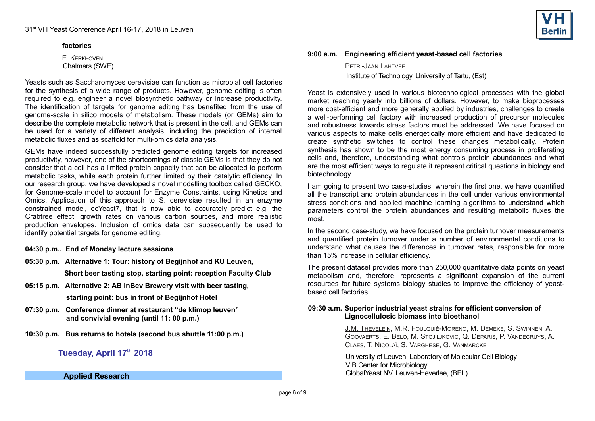#### **factories**

 E. KERKHOVEN Chalmers (SWE)

Yeasts such as Saccharomyces cerevisiae can function as microbial cell factories for the synthesis of a wide range of products. However, genome editing is often required to e.g. engineer a novel biosynthetic pathway or increase productivity. The identification of targets for genome editing has benefited from the use of genome-scale in silico models of metabolism. These models (or GEMs) aim to describe the complete metabolic network that is present in the cell, and GEMs can be used for a variety of different analysis, including the prediction of internal metabolic fluxes and as scaffold for multi-omics data analysis.

GEMs have indeed successfully predicted genome editing targets for increased productivity, however, one of the shortcomings of classic GEMs is that they do not consider that a cell has a limited protein capacity that can be allocated to perform metabolic tasks, while each protein further limited by their catalytic efficiency. In our research group, we have developed a novel modelling toolbox called GECKO, for Genome-scale model to account for Enzyme Constraints, using Kinetics and Omics. Application of this approach to S. cerevisiae resulted in an enzyme constrained model, ecYeast7, that is now able to accurately predict e.g. the Crabtree effect, growth rates on various carbon sources, and more realistic production envelopes. Inclusion of omics data can subsequently be used to identify potential targets for genome editing.

- **04:30 p.m.. End of Monday lecture sessions**
- **05:30 p.m. Alternative 1: Tour: history of Begijnhof and KU Leuven, Short beer tasting stop, starting point: reception Faculty Club**
- **05:15 p.m. Alternative 2: AB InBev Brewery visit with beer tasting, starting point: bus in front of Begijnhof Hotel**
- **07:30 p.m. Conference dinner at restaurant "de klimop leuven" and convivial evening (until 11: 00 p.m.)**
- **10:30 p.m. Bus returns to hotels (second bus shuttle 11:00 p.m.)**

# **Tuesday, April 17th 2018**

**Applied Research**



#### **9:00 a.m. Engineering efficient yeast-based cell factories**

PETRI-JAAN LAHTVEE Institute of Technology, University of Tartu, (Est)

Yeast is extensively used in various biotechnological processes with the global market reaching yearly into billions of dollars. However, to make bioprocesses more cost-efficient and more generally applied by industries, challenges to create a well-performing cell factory with increased production of precursor molecules and robustness towards stress factors must be addressed. We have focused on various aspects to make cells energetically more efficient and have dedicated to create synthetic switches to control these changes metabolically. Protein synthesis has shown to be the most energy consuming process in proliferating cells and, therefore, understanding what controls protein abundances and what are the most efficient ways to regulate it represent critical questions in biology and biotechnology.

I am going to present two case-studies, wherein the first one, we have quantified all the transcript and protein abundances in the cell under various environmental stress conditions and applied machine learning algorithms to understand which parameters control the protein abundances and resulting metabolic fluxes the most.

In the second case-study, we have focused on the protein turnover measurements and quantified protein turnover under a number of environmental conditions to understand what causes the differences in turnover rates, responsible for more than 15% increase in cellular efficiency.

The present dataset provides more than 250,000 quantitative data points on yeast metabolism and, therefore, represents a significant expansion of the current resources for future systems biology studies to improve the efficiency of yeastbased cell factories.

#### **09:30 a.m. Superior industrial yeast strains for efficient conversion of Lignocellulosic biomass into bioethanol**

 J.M. THEVELEIN, M.R. FOULQUIÉ-MORENO, M. DEMEKE, S. SWINNEN, A. GOOVAERTS, E. BELO, M. STOJILJKOVIC, Q. DEPARIS, P. VANDECRUYS, A. CLAES, T. NICOLAÏ, S. VARGHESE, G. VANMARCKE

University of Leuven, Laboratory of Molecular Cell Biology VIB Center for Microbiology GlobalYeast NV, Leuven-Heverlee, (BEL)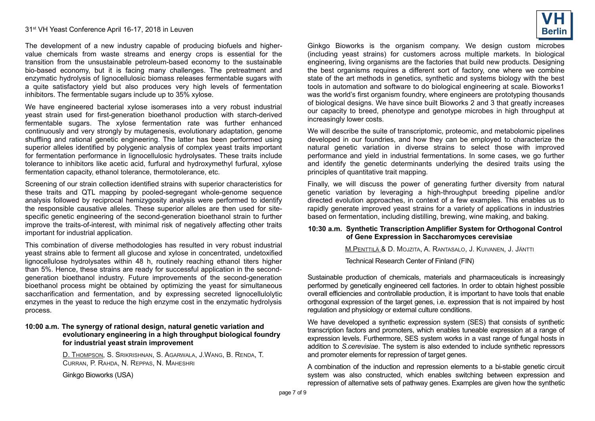The development of a new industry capable of producing biofuels and highervalue chemicals from waste streams and energy crops is essential for the transition from the unsustainable petroleum-based economy to the sustainable bio-based economy, but it is facing many challenges. The pretreatment and enzymatic hydrolysis of lignocellulosic biomass releases fermentable sugars with a quite satisfactory yield but also produces very high levels of fermentation inhibitors. The fermentable sugars include up to 35% xylose.

We have engineered bacterial xylose isomerases into a very robust industrial yeast strain used for first-generation bioethanol production with starch-derived fermentable sugars. The xylose fermentation rate was further enhanced continuously and very strongly by mutagenesis, evolutionary adaptation, genome shuffling and rational genetic engineering. The latter has been performed using superior alleles identified by polygenic analysis of complex yeast traits important for fermentation performance in lignocellulosic hydrolysates. These traits include tolerance to inhibitors like acetic acid, furfural and hydroxymethyl furfural, xylose fermentation capacity, ethanol tolerance, thermotolerance, etc.

Screening of our strain collection identified strains with superior characteristics for these traits and QTL mapping by pooled-segregant whole-genome sequence analysis followed by reciprocal hemizygosity analysis were performed to identify the responsible causative alleles. These superior alleles are then used for sitespecific genetic engineering of the second-generation bioethanol strain to further improve the traits-of-interest, with minimal risk of negatively affecting other traits important for industrial application.

This combination of diverse methodologies has resulted in very robust industrial yeast strains able to ferment all glucose and xylose in concentrated, undetoxified lignocellulose hydrolysates within 48 h, routinely reaching ethanol titers higher than 5%. Hence, these strains are ready for successful application in the secondgeneration bioethanol industry. Future improvements of the second-generation bioethanol process might be obtained by optimizing the yeast for simultaneous saccharification and fermentation, and by expressing secreted lignocellulolytic enzymes in the yeast to reduce the high enzyme cost in the enzymatic hydrolysis process.

#### **10:00 a.m. The synergy of rational design, natural genetic variation and evolutionary engineering in a high throughput biological foundry for industrial yeast strain improvement**

 D. THOMPSON, S. SRIKRISHNAN, S. AGARWALA, J.WANG, B. RENDA, T. CURRAN, P. RAHDA, N. REPPAS, N. MAHESHRI

Ginkgo Bioworks (USA)

Ginkgo Bioworks is the organism company. We design custom microbes (including yeast strains) for customers across multiple markets. In biological engineering, living organisms are the factories that build new products. Designing the best organisms requires a different sort of factory, one where we combine state of the art methods in genetics, synthetic and systems biology with the best tools in automation and software to do biological engineering at scale. Bioworks1 was the world's first organism foundry, where engineers are prototyping thousands of biological designs. We have since built Bioworks 2 and 3 that greatly increases our capacity to breed, phenotype and genotype microbes in high throughput at increasingly lower costs.

We will describe the suite of transcriptomic, proteomic, and metabolomic pipelines developed in our foundries, and how they can be employed to characterize the natural genetic variation in diverse strains to select those with improved performance and yield in industrial fermentations. In some cases, we go further and identify the genetic determinants underlying the desired traits using the principles of quantitative trait mapping.

Finally, we will discuss the power of generating further diversity from natural genetic variation by leveraging a high-throughput breeding pipeline and/or directed evolution approaches, in context of a few examples. This enables us to rapidly generate improved yeast strains for a variety of applications in industries based on fermentation, including distilling, brewing, wine making, and baking.

### **10:30 a.m. Synthetic Transcription Amplifier System for Orthogonal Control of Gene Expression in Saccharomyces cerevisiae**

M.PENTTILÄ & D. MOJZITA, A. RANTASALO, J. KUIVANEN, J. JÄNTTI

Technical Research Center of Finland (FIN)

Sustainable production of chemicals, materials and pharmaceuticals is increasingly performed by genetically engineered cell factories. In order to obtain highest possible overall efficiencies and controllable production, it is important to have tools that enable orthogonal expression of the target genes, i.e. expression that is not impaired by host regulation and physiology or external culture conditions.

We have developed a synthetic expression system (SES) that consists of synthetic transcription factors and promoters, which enables tuneable expression at a range of expression levels. Furthermore, SES system works in a vast range of fungal hosts in addition to *S.cerevisiae*. The system is also extended to include synthetic repressors and promoter elements for repression of target genes.

A combination of the induction and repression elements to a bi-stable genetic circuit system was also constructed, which enables switching between expression and repression of alternative sets of pathway genes. Examples are given how the synthetic

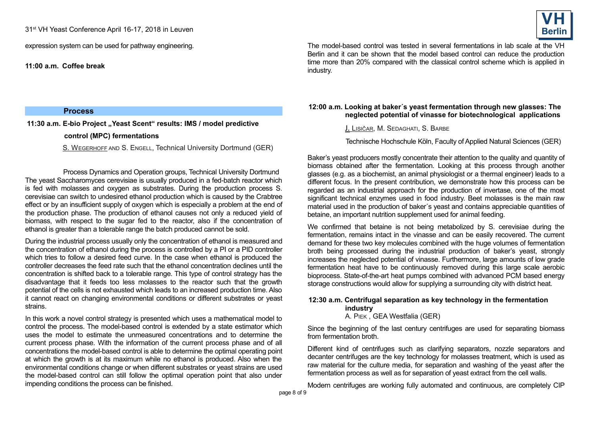expression system can be used for pathway engineering.

**11:00 a.m. Coffee break**

#### **Process**

11:30 a.m. E-bio Project "Yeast Scent" results: IMS / model predictive

## **control (MPC) fermentations**

S. WEGERHOFF AND S. ENGELL, Technical University Dortmund (GER)

Process Dynamics and Operation groups, Technical University Dortmund The yeast Saccharomyces cerevisiae is usually produced in a fed-batch reactor which is fed with molasses and oxygen as substrates. During the production process S. cerevisiae can switch to undesired ethanol production which is caused by the Crabtree effect or by an insufficient supply of oxygen which is especially a problem at the end of the production phase. The production of ethanol causes not only a reduced yield of biomass, with respect to the sugar fed to the reactor, also if the concentration of ethanol is greater than a tolerable range the batch produced cannot be sold.

During the industrial process usually only the concentration of ethanol is measured and the concentration of ethanol during the process is controlled by a PI or a PID controller which tries to follow a desired feed curve. In the case when ethanol is produced the controller decreases the feed rate such that the ethanol concentration declines until the concentration is shifted back to a tolerable range. This type of control strategy has the disadvantage that it feeds too less molasses to the reactor such that the growth potential of the cells is not exhausted which leads to an increased production time. Also it cannot react on changing environmental conditions or different substrates or yeast strains.

In this work a novel control strategy is presented which uses a mathematical model to control the process. The model-based control is extended by a state estimator which uses the model to estimate the unmeasured concentrations and to determine the current process phase. With the information of the current process phase and of all concentrations the model-based control is able to determine the optimal operating point at which the growth is at its maximum while no ethanol is produced. Also when the environmental conditions change or when different substrates or yeast strains are used the model-based control can still follow the optimal operation point that also under impending conditions the process can be finished.



The model-based control was tested in several fermentations in lab scale at the VH Berlin and it can be shown that the model based control can reduce the production time more than 20% compared with the classical control scheme which is applied in industry.

## **12:00 a.m. Looking at baker´s yeast fermentation through new glasses: The neglected potential of vinasse for biotechnological applications**

J. LISIČAR, M. SEDAGHATI, S. BARBE

Technische Hochschule Köln, Faculty of Applied Natural Sciences (GER)

Baker's yeast producers mostly concentrate their attention to the quality and quantity of biomass obtained after the fermentation. Looking at this process through another glasses (e.g. as a biochemist, an animal physiologist or a thermal engineer) leads to a different focus. In the present contribution, we demonstrate how this process can be regarded as an industrial approach for the production of invertase, one of the most significant technical enzymes used in food industry. Beet molasses is the main raw material used in the production of baker´s yeast and contains appreciable quantities of betaine, an important nutrition supplement used for animal feeding.

We confirmed that betaine is not being metabolized by S. cerevisiae during the fermentation, remains intact in the vinasse and can be easily recovered. The current demand for these two key molecules combined with the huge volumes of fermentation broth being processed during the industrial production of baker's yeast, strongly increases the neglected potential of vinasse. Furthermore, large amounts of low grade fermentation heat have to be continuously removed during this large scale aerobic bioprocess. State-of-the-art heat pumps combined with advanced PCM based energy storage constructions would allow for supplying a surrounding city with district heat.

# **12:30 a.m. Centrifugal separation as key technology in the fermentation industry**

A. PIEK , GEA Westfalia (GER)

Since the beginning of the last century centrifuges are used for separating biomass from fermentation broth

Different kind of centrifuges such as clarifying separators, nozzle separators and decanter centrifuges are the key technology for molasses treatment, which is used as raw material for the culture media, for separation and washing of the yeast after the fermentation process as well as for separation of yeast extract from the cell walls.

Modern centrifuges are working fully automated and continuous, are completely CIP